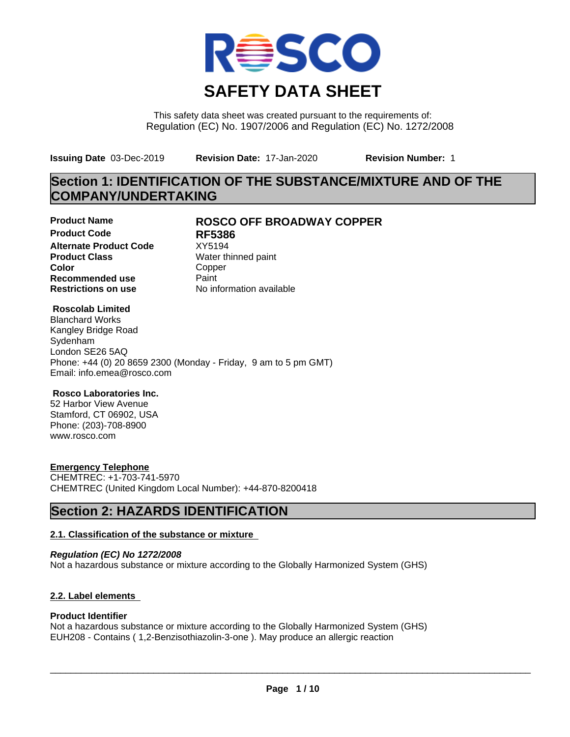

This safety data sheet was created pursuant to the requirements of: Regulation (EC) No. 1907/2006 and Regulation (EC) No. 1272/2008

**Issuing Date** 03-Dec-2019 **Revision Date:** 17-Jan-2020 **Revision Number:** 1

# **Section 1: IDENTIFICATION OF THE SUBSTANCE/MIXTURE AND OF THE COMPANY/UNDERTAKING**

**Product Code RF5386 Alternate Product Code** XY5194<br>**Product Class** Water th **Color** Copper **Recommended use** Paint<br> **Restrictions on use** Mo information available **Restrictions on use** 

# **Product Name ROSCO OFF BROADWAY COPPER**

**Water thinned paint** 

## **Roscolab Limited**

Blanchard Works Kangley Bridge Road Sydenham London SE26 5AQ Phone: +44 (0) 20 8659 2300 (Monday - Friday, 9 am to 5 pm GMT) Email: info.emea@rosco.com

## **Rosco Laboratories Inc.**

52 Harbor View Avenue Stamford, CT 06902, USA Phone: (203)-708-8900 www.rosco.com

# **Emergency Telephone**

CHEMTREC: +1-703-741-5970 CHEMTREC (United Kingdom Local Number): +44-870-8200418

# **Section 2: HAZARDS IDENTIFICATION**

## **2.1. Classification of the substance or mixture**

*Regulation (EC) No 1272/2008* Not a hazardous substance or mixture according to the Globally Harmonized System (GHS)

# **2.2. Label elements**

## **Product Identifier**

Not a hazardous substance or mixture according to the Globally Harmonized System (GHS) EUH208 - Contains ( 1,2-Benzisothiazolin-3-one ). May produce an allergic reaction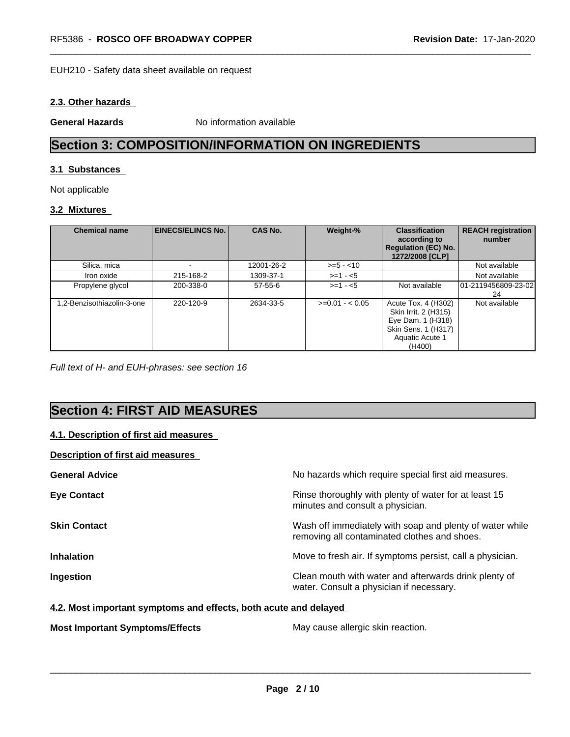#### EUH210 - Safety data sheet available on request

## **2.3. Other hazards**

**General Hazards** No information available

# **Section 3: COMPOSITION/INFORMATION ON INGREDIENTS**

#### **3.1 Substances**

Not applicable

# **3.2 Mixtures**

| <b>Chemical name</b>      | <b>EINECS/ELINCS No.</b> | <b>CAS No.</b> | Weight-%        | <b>Classification</b><br>according to<br><b>Regulation (EC) No.</b><br>1272/2008 [CLP]                               | <b>REACH registration</b><br>number |
|---------------------------|--------------------------|----------------|-----------------|----------------------------------------------------------------------------------------------------------------------|-------------------------------------|
| Silica, mica              |                          | 12001-26-2     | $>= 5 - 10$     |                                                                                                                      | Not available                       |
| Iron oxide                | 215-168-2                | 1309-37-1      | $>=1 - 5$       |                                                                                                                      | Not available                       |
| Propylene glycol          | 200-338-0                | $57 - 55 - 6$  | $>=1 - 5$       | Not available                                                                                                        | 01-2119456809-23-02<br>24           |
| .2-Benzisothiazolin-3-one | 220-120-9                | 2634-33-5      | $>=0.01 - 0.05$ | Acute Tox. 4 (H302)<br>Skin Irrit. 2 (H315)<br>Eye Dam. 1 (H318)<br>Skin Sens. 1 (H317)<br>Aquatic Acute 1<br>(H400) | Not available                       |

*Full text of H- and EUH-phrases: see section 16*

# **Section 4: FIRST AID MEASURES**

# **4.1. Description of first aid measures**

## **Description of first aid measures**

| <b>General Advice</b> | No hazards which require special first aid measures.                                                     |
|-----------------------|----------------------------------------------------------------------------------------------------------|
| <b>Eye Contact</b>    | Rinse thoroughly with plenty of water for at least 15<br>minutes and consult a physician.                |
| <b>Skin Contact</b>   | Wash off immediately with soap and plenty of water while<br>removing all contaminated clothes and shoes. |
| <b>Inhalation</b>     | Move to fresh air. If symptoms persist, call a physician.                                                |
| Ingestion             | Clean mouth with water and afterwards drink plenty of<br>water. Consult a physician if necessary.        |

#### **4.2. Most important symptoms and effects, both acute and delayed**

**Most Important Symptoms/Effects** May cause allergic skin reaction.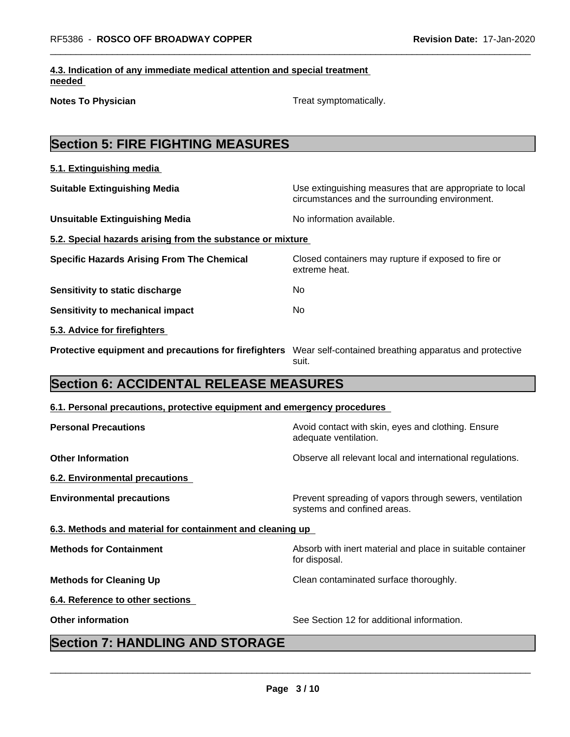|        | 4.3. Indication of any immediate medical attention and special treatment |  |
|--------|--------------------------------------------------------------------------|--|
| needed |                                                                          |  |

**Notes To Physician** Motes To Physician Treat symptomatically.

# **Section 5: FIRE FIGHTING MEASURES**

| 5.1. Extinguishing media                                   |                                                                                                            |
|------------------------------------------------------------|------------------------------------------------------------------------------------------------------------|
| <b>Suitable Extinguishing Media</b>                        | Use extinguishing measures that are appropriate to local<br>circumstances and the surrounding environment. |
| <b>Unsuitable Extinguishing Media</b>                      | No information available.                                                                                  |
| 5.2. Special hazards arising from the substance or mixture |                                                                                                            |
| <b>Specific Hazards Arising From The Chemical</b>          | Closed containers may rupture if exposed to fire or<br>extreme heat.                                       |
| Sensitivity to static discharge                            | No.                                                                                                        |
| <b>Sensitivity to mechanical impact</b>                    | No.                                                                                                        |
| 5.3. Advice for firefighters                               |                                                                                                            |
| Protective equipment and precautions for firefighters      | Wear self-contained breathing apparatus and protective<br>suit.                                            |

# **Section 6: ACCIDENTAL RELEASE MEASURES**

## **6.1. Personal precautions, protective equipment and emergency procedures**

| <b>Personal Precautions</b>                               | Avoid contact with skin, eyes and clothing. Ensure<br>adequate ventilation.            |
|-----------------------------------------------------------|----------------------------------------------------------------------------------------|
| <b>Other Information</b>                                  | Observe all relevant local and international regulations.                              |
| 6.2. Environmental precautions                            |                                                                                        |
| <b>Environmental precautions</b>                          | Prevent spreading of vapors through sewers, ventilation<br>systems and confined areas. |
| 6.3. Methods and material for containment and cleaning up |                                                                                        |
| <b>Methods for Containment</b>                            | Absorb with inert material and place in suitable container<br>for disposal.            |
| <b>Methods for Cleaning Up</b>                            | Clean contaminated surface thoroughly.                                                 |
| 6.4. Reference to other sections                          |                                                                                        |
| <b>Other information</b>                                  | See Section 12 for additional information.                                             |
|                                                           |                                                                                        |

# **Section 7: HANDLING AND STORAGE**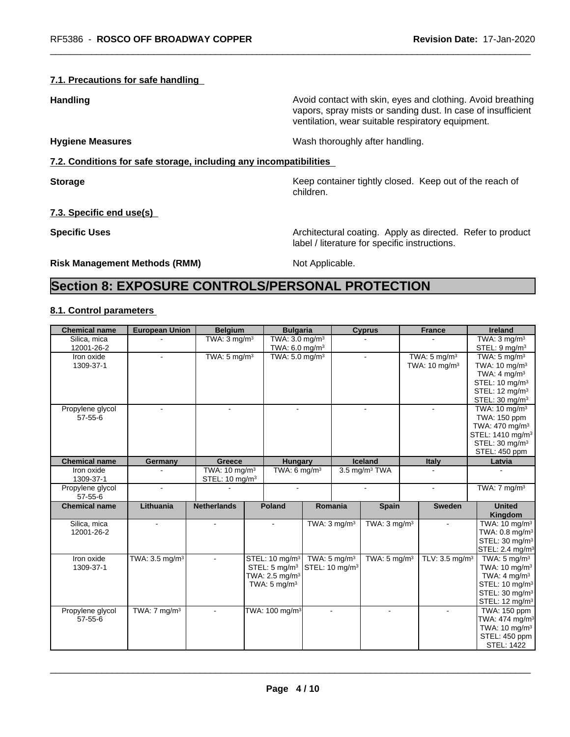## **7.1. Precautions for safe handling**

**Handling Handling Avoid contact with skin, eyes and clothing. Avoid breathing** vapors, spray mists or sanding dust. In case of insufficient ventilation, wear suitable respiratory equipment.

**Hygiene Measures** Mash thoroughly after handling.

# **7.2. Conditions for safe storage, including any incompatibilities**

**Storage Keep container tightly closed. Keep out of the reach of Keep** container tightly closed. Keep out of the reach of children.

# **7.3. Specific end use(s)**

**Specific Uses Architectural coating. Apply as directed. Refer to product Specific Uses** label / literature for specific instructions.

**Risk Management Methods (RMM)** Not Applicable.

# **Section 8: EXPOSURE CONTROLS/PERSONAL PROTECTION**

## **8.1. Control parameters**

| <b>Chemical name</b>              | <b>European Union</b>                         | <b>Belgium</b>                                         | <b>Bulgaria</b>                                                                                                   |  |                                                       | <b>Cyprus</b>             |  | <b>France</b>                                        | <b>Ireland</b>                                                                                                                                                            |
|-----------------------------------|-----------------------------------------------|--------------------------------------------------------|-------------------------------------------------------------------------------------------------------------------|--|-------------------------------------------------------|---------------------------|--|------------------------------------------------------|---------------------------------------------------------------------------------------------------------------------------------------------------------------------------|
| Silica, mica<br>12001-26-2        |                                               | TWA: $3 \text{ mg/m}^3$                                | TWA: 3.0 mg/m <sup>3</sup><br>TWA: 6.0 mg/m <sup>3</sup>                                                          |  |                                                       |                           |  |                                                      | TWA: $3$ mg/m $3$<br>STEL: 9 mg/m <sup>3</sup>                                                                                                                            |
| Iron oxide<br>1309-37-1           |                                               | TWA: $5 \text{ mg/m}^3$                                | TWA: 5.0 mg/m <sup>3</sup>                                                                                        |  |                                                       |                           |  | TWA: $5 \text{ mg/m}^3$<br>TWA: 10 mg/m <sup>3</sup> | TWA: $5 \text{ mg/m}^3$<br>TWA: 10 mg/m <sup>3</sup><br>TWA: $4 \text{ mg/m}^3$<br>STEL: 10 mg/m <sup>3</sup><br>STEL: 12 mg/m <sup>3</sup><br>STEL: 30 mg/m <sup>3</sup> |
| Propylene glycol<br>$57 - 55 - 6$ |                                               |                                                        |                                                                                                                   |  |                                                       |                           |  |                                                      | TWA: $10 \text{ mg/m}^3$<br>TWA: 150 ppm<br>TWA: 470 mg/m <sup>3</sup><br>STEL: 1410 mg/m <sup>3</sup><br>STEL: 30 mg/m <sup>3</sup><br>STEL: 450 ppm                     |
| <b>Chemical name</b>              | Germany                                       | Greece                                                 | <b>Hungary</b>                                                                                                    |  |                                                       | <b>Iceland</b>            |  | <b>Italy</b>                                         | Latvia                                                                                                                                                                    |
| Iron oxide<br>1309-37-1           |                                               | TWA: $10 \text{ mg/m}^3$<br>STEL: 10 mg/m <sup>3</sup> | TWA: $6 \text{ mg/m}^3$                                                                                           |  |                                                       | 3.5 mg/m <sup>3</sup> TWA |  |                                                      |                                                                                                                                                                           |
| Propylene glycol<br>$57 - 55 - 6$ | $\blacksquare$                                |                                                        | $\blacksquare$                                                                                                    |  |                                                       | $\sim$                    |  | $\sim$                                               | TWA: $7 \text{ mg/m}^3$                                                                                                                                                   |
| <b>Chemical name</b>              | Lithuania                                     | <b>Netherlands</b>                                     | <b>Poland</b>                                                                                                     |  | Romania                                               | <b>Spain</b>              |  | <b>Sweden</b>                                        | <b>United</b><br>Kingdom                                                                                                                                                  |
| Silica, mica<br>12001-26-2        | $\overline{a}$                                | $\blacksquare$                                         | $\sim$                                                                                                            |  | TWA: $3 \text{ mg/m}^3$                               | TWA: $3 \text{ mq/m}^3$   |  | $\blacksquare$                                       | TWA: 10 mg/m <sup>3</sup><br>TWA: $0.8$ mg/m <sup>3</sup><br>STEL: 30 mg/m <sup>3</sup><br>STEL: 2.4 mg/m <sup>3</sup>                                                    |
| Iron oxide<br>1309-37-1           | TWA: 3.5 mg/m <sup>3</sup>                    | $\blacksquare$                                         | STEL: 10 mg/m <sup>3</sup><br>STEL: $5 \text{ mg/m}^3$<br>TWA: $2.5$ mg/m <sup>3</sup><br>TWA: $5 \text{ mg/m}^3$ |  | TWA: $5 \text{ mg/m}^3$<br>STEL: 10 mg/m <sup>3</sup> | TWA: $5 \text{ mg/m}^3$   |  | TLV: 3.5 mg/m <sup>3</sup>                           | TWA: $5 \text{ mg/m}^3$<br>TWA: $10 \text{ mg/m}^3$<br>TWA: $4 \text{ mg/m}^3$<br>STEL: 10 mg/m <sup>3</sup><br>STEL: 30 mg/m <sup>3</sup><br>STEL: 12 mg/m <sup>3</sup>  |
| Propylene glycol<br>$57 - 55 - 6$ | $\overline{\text{TW}}$ A: 7 mg/m <sup>3</sup> | $\sim$                                                 | TWA: 100 mg/m <sup>3</sup>                                                                                        |  | $\sim$                                                | $\blacksquare$            |  | $\sim$                                               | TWA: 150 ppm<br>TWA: 474 mg/m <sup>3</sup><br>TWA: 10 mg/m <sup>3</sup><br>STEL: 450 ppm<br><b>STEL: 1422</b>                                                             |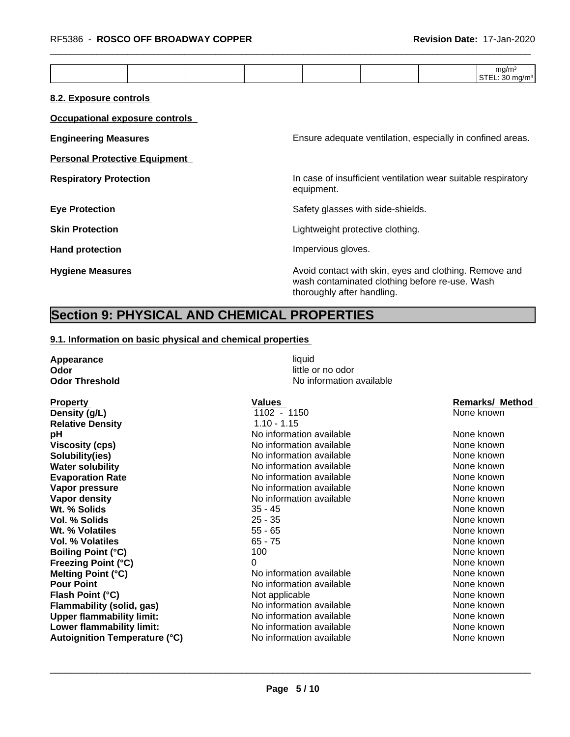|--|

## **8.2. Exposure controls**

| Occupational exposure controls       |                                                                                                                                        |
|--------------------------------------|----------------------------------------------------------------------------------------------------------------------------------------|
| <b>Engineering Measures</b>          | Ensure adequate ventilation, especially in confined areas.                                                                             |
| <b>Personal Protective Equipment</b> |                                                                                                                                        |
| <b>Respiratory Protection</b>        | In case of insufficient ventilation wear suitable respiratory<br>equipment.                                                            |
| <b>Eye Protection</b>                | Safety glasses with side-shields.                                                                                                      |
| <b>Skin Protection</b>               | Lightweight protective clothing.                                                                                                       |
| <b>Hand protection</b>               | Impervious gloves.                                                                                                                     |
| <b>Hygiene Measures</b>              | Avoid contact with skin, eyes and clothing. Remove and<br>wash contaminated clothing before re-use. Wash<br>thoroughly after handling. |

# **Section 9: PHYSICAL AND CHEMICAL PROPERTIES**

## **9.1. Information on basic physical and chemical properties**

| Appearance<br>Odor                   | liquid<br>little or no odor |                        |
|--------------------------------------|-----------------------------|------------------------|
| <b>Odor Threshold</b>                | No information available    |                        |
| <b>Property</b>                      | Values                      | <b>Remarks/ Method</b> |
| Density (g/L)                        | $1102 - 1150$               | None known             |
| <b>Relative Density</b>              | $1.10 - 1.15$               |                        |
| рH                                   | No information available    | None known             |
| <b>Viscosity (cps)</b>               | No information available    | None known             |
| Solubility(ies)                      | No information available    | None known             |
| <b>Water solubility</b>              | No information available    | None known             |
| <b>Evaporation Rate</b>              | No information available    | None known             |
| Vapor pressure                       | No information available    | None known             |
| <b>Vapor density</b>                 | No information available    | None known             |
| Wt. % Solids                         | $35 - 45$                   | None known             |
| Vol. % Solids                        | $25 - 35$                   | None known             |
| Wt. % Volatiles                      | $55 - 65$                   | None known             |
| Vol. % Volatiles                     | $65 - 75$                   | None known             |
| <b>Boiling Point (°C)</b>            | 100                         | None known             |
| <b>Freezing Point (°C)</b>           | 0                           | None known             |
| Melting Point (°C)                   | No information available    | None known             |
| <b>Pour Point</b>                    | No information available    | None known             |
| Flash Point (°C)                     | Not applicable              | None known             |
| <b>Flammability (solid, gas)</b>     | No information available    | None known             |
| <b>Upper flammability limit:</b>     | No information available    | None known             |
| Lower flammability limit:            | No information available    | None known             |
| <b>Autoignition Temperature (°C)</b> | No information available    | None known             |
|                                      |                             |                        |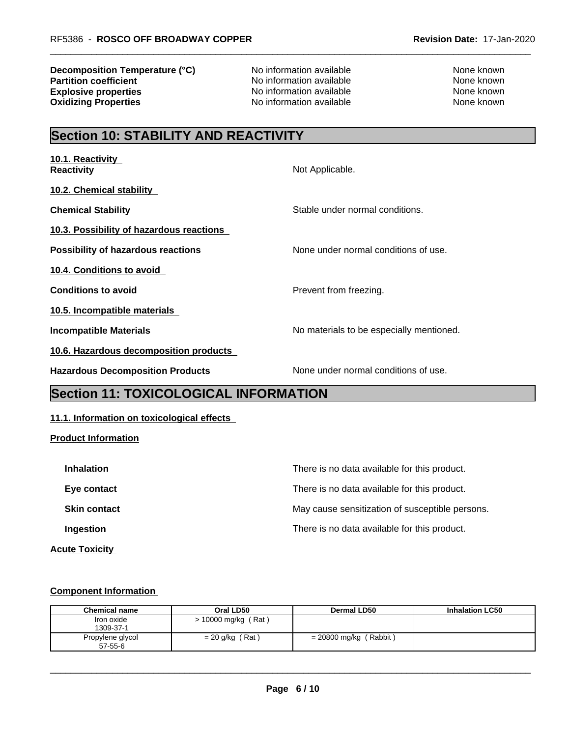**Decomposition Temperature (°C)** No information available None Known None known **Partition coefficient**<br> **Explosive properties**<br>
No information available None Known<br>
None known **Explosive properties**<br> **Oxidizing Properties**<br>
No information available<br>
None known<br>
None known

**No information available** 

# **Section 10: STABILITY AND REACTIVITY**

| 10.1. Reactivity<br><b>Reactivity</b>     | Not Applicable.                          |
|-------------------------------------------|------------------------------------------|
| 10.2. Chemical stability                  |                                          |
| <b>Chemical Stability</b>                 | Stable under normal conditions.          |
| 10.3. Possibility of hazardous reactions  |                                          |
| <b>Possibility of hazardous reactions</b> | None under normal conditions of use.     |
| 10.4. Conditions to avoid                 |                                          |
| <b>Conditions to avoid</b>                | Prevent from freezing.                   |
| 10.5. Incompatible materials              |                                          |
| Incompatible Materials                    | No materials to be especially mentioned. |
| 10.6. Hazardous decomposition products    |                                          |
| <b>Hazardous Decomposition Products</b>   | None under normal conditions of use.     |
|                                           |                                          |

# **Section 11: TOXICOLOGICAL INFORMATION**

# **11.1. Information on toxicological effects**

## **Product Information**

| <b>Inhalation</b>     | There is no data available for this product.    |
|-----------------------|-------------------------------------------------|
| Eye contact           | There is no data available for this product.    |
| <b>Skin contact</b>   | May cause sensitization of susceptible persons. |
| Ingestion             | There is no data available for this product.    |
| <b>Acute Toxicity</b> |                                                 |

## **Component Information**

| <b>Chemical name</b> | Oral LD50           | Dermal LD50              | <b>Inhalation LC50</b> |
|----------------------|---------------------|--------------------------|------------------------|
| Iron oxide           | > 10000 mg/kg (Rat) |                          |                        |
| 1309-37-1            |                     |                          |                        |
| Propylene glycol     | $= 20$ g/kg (Rat)   | $= 20800$ mg/kg (Rabbit) |                        |
| $57 - 55 - 6$        |                     |                          |                        |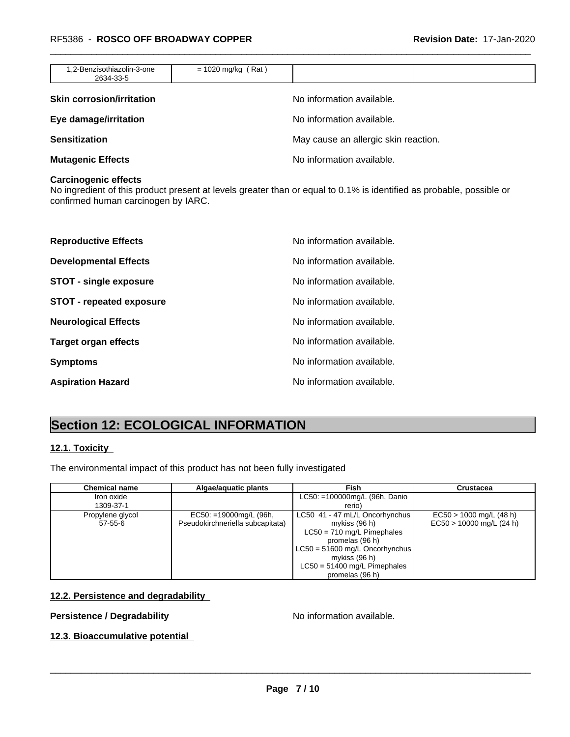| 1,2-Benzisothiazolin-3-one<br>2634-33-5 | $= 1020$ mg/kg (Rat) |                                      |  |
|-----------------------------------------|----------------------|--------------------------------------|--|
| <b>Skin corrosion/irritation</b>        |                      | No information available.            |  |
| Eye damage/irritation                   |                      | No information available.            |  |
| <b>Sensitization</b>                    |                      | May cause an allergic skin reaction. |  |
| <b>Mutagenic Effects</b>                |                      | No information available.            |  |

#### **Carcinogenic effects**

No ingredient of this product present at levels greater than or equal to 0.1% is identified as probable, possible or confirmed human carcinogen by IARC.

| <b>Reproductive Effects</b>   | No information available. |
|-------------------------------|---------------------------|
| <b>Developmental Effects</b>  | No information available. |
| <b>STOT - single exposure</b> | No information available. |
| STOT - repeated exposure      | No information available. |
| <b>Neurological Effects</b>   | No information available. |
| <b>Target organ effects</b>   | No information available. |
| <b>Symptoms</b>               | No information available. |
| <b>Aspiration Hazard</b>      | No information available. |

# **Section 12: ECOLOGICAL INFORMATION**

## **12.1. Toxicity**

The environmental impact of this product has not been fully investigated

| <b>Chemical name</b>              | Algae/aquatic plants                                          | Fish                                                                                                                                                                                                         | <b>Crustacea</b>                                        |
|-----------------------------------|---------------------------------------------------------------|--------------------------------------------------------------------------------------------------------------------------------------------------------------------------------------------------------------|---------------------------------------------------------|
| Iron oxide<br>1309-37-1           |                                                               | LC50: =100000mg/L (96h, Danio<br>rerio)                                                                                                                                                                      |                                                         |
| Propylene glycol<br>$57 - 55 - 6$ | $EC50: = 19000mg/L$ (96h,<br>Pseudokirchneriella subcapitata) | LC50 41 - 47 mL/L Oncorhynchus<br>mykiss (96 h)<br>$LC50 = 710$ mg/L Pimephales<br>promelas (96 h)<br>$LC50 = 51600$ mg/L Oncorhynchus<br>mykiss (96 h)<br>$LC50 = 51400$ mg/L Pimephales<br>promelas (96 h) | $EC50 > 1000$ mg/L (48 h)<br>$EC50 > 10000$ mg/L (24 h) |

# **12.2. Persistence and degradability**

# **Persistence / Degradability No information available.**

 $\overline{\phantom{a}}$  ,  $\overline{\phantom{a}}$  ,  $\overline{\phantom{a}}$  ,  $\overline{\phantom{a}}$  ,  $\overline{\phantom{a}}$  ,  $\overline{\phantom{a}}$  ,  $\overline{\phantom{a}}$  ,  $\overline{\phantom{a}}$  ,  $\overline{\phantom{a}}$  ,  $\overline{\phantom{a}}$  ,  $\overline{\phantom{a}}$  ,  $\overline{\phantom{a}}$  ,  $\overline{\phantom{a}}$  ,  $\overline{\phantom{a}}$  ,  $\overline{\phantom{a}}$  ,  $\overline{\phantom{a}}$ 

# **12.3. Bioaccumulative potential**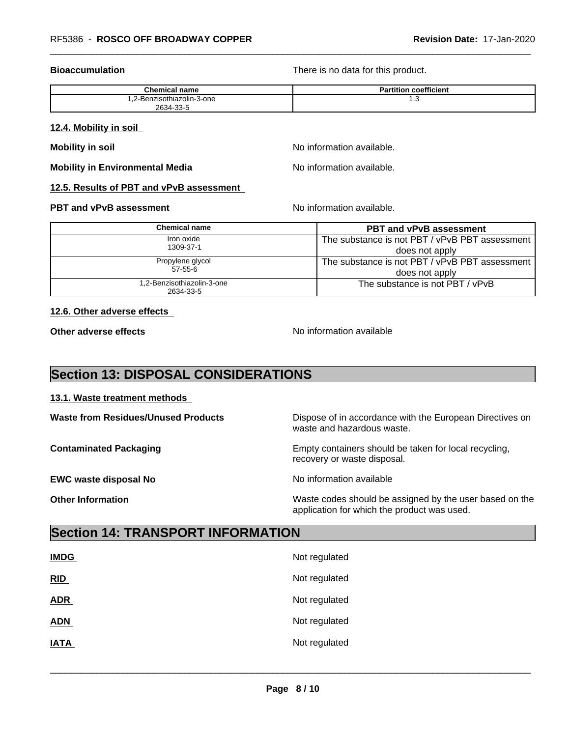**Bioaccumulation Bioaccumulation Bioaccumulation There is no data for this product.** 

| <b>Chemical name</b>       | coefficient<br>Partition |
|----------------------------|--------------------------|
| 1,2-Benzisothiazolin-3-one | ن. ا                     |
| 2634-33-5                  |                          |

#### **12.4. Mobility in soil**

**Mobility in soil Mobility in soil Mobility in soil** 

**Mobility in Environmental Media** Noinformation available.

## **12.5. Results of PBT and vPvB assessment**

#### **PBT and vPvB assessment**  $\blacksquare$  No information available.

| Chemical name              | <b>PBT and vPvB assessment</b>                 |
|----------------------------|------------------------------------------------|
| Iron oxide                 | The substance is not PBT / vPvB PBT assessment |
| 1309-37-1                  | does not apply                                 |
| Propylene glycol           | The substance is not PBT / vPvB PBT assessment |
| $57-55-6$                  | does not apply                                 |
| 1,2-Benzisothiazolin-3-one | The substance is not PBT / vPvB                |
| 2634-33-5                  |                                                |

## **12.6. Other adverse effects**

**Other adverse effects** No information available

# **Section 13: DISPOSAL CONSIDERATIONS**

## **13.1. Waste treatment methods**

**Waste from Residues/Unused Products** Dispose of in accordance with the European Directives on waste and hazardous waste. **Contaminated Packaging <b>Empty Containers** should be taken for local recycling, recovery or waste disposal. **EWC waste disposal No** Noinformation available

**Other Information** Waste codes should be assigned by the user based on the application for which the product was used.

# **Section 14: TRANSPORT INFORMATION**

| <b>IMDG</b> | Not regulated |
|-------------|---------------|
| RID         | Not regulated |
| <b>ADR</b>  | Not regulated |
| <b>ADN</b>  | Not regulated |
| <b>IATA</b> | Not regulated |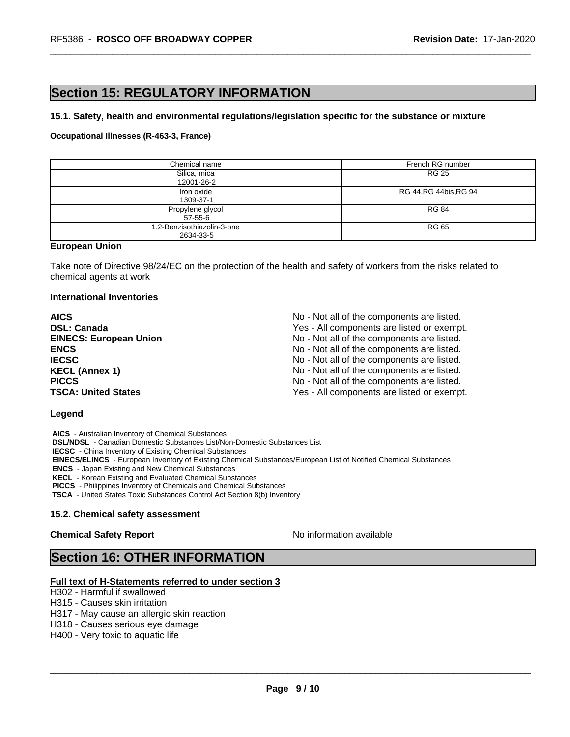# **Section 15: REGULATORY INFORMATION**

#### **15.1. Safety, health and environmental regulations/legislation specific for the substance or mixture**

## **Occupational Illnesses (R-463-3, France)**

| Chemical name              | French RG number        |
|----------------------------|-------------------------|
| Silica, mica               | RG 25                   |
| 12001-26-2                 |                         |
| Iron oxide                 | RG 44, RG 44 bis, RG 94 |
| 1309-37-1                  |                         |
| Propylene glycol           | <b>RG 84</b>            |
| 57-55-6                    |                         |
| 1,2-Benzisothiazolin-3-one | RG 65                   |
| 2634-33-5                  |                         |

## **European Union**

Take note of Directive 98/24/EC on the protection of the health and safety of workers from the risks related to chemical agents at work

#### **International Inventories**

**AICS** No - Not all of the components are listed. **DSL: Canada Ves - All components are listed or exempt.** Yes - All components are listed or exempt. **EINECS: European Union** No - Not all of the components are listed. **ENCS** ENCS **ENCS ENCS ENCS ENCS ENCS ENCS ENCS ENCS ENCES ENCES ENCES ENCES ENCES ENCES ENCES ENCES ENCES IECSC IECSC IECSC IECSC IECSC IECSC IECSC IECSC IECSC IECSC IECS IECS IECS IECS IECS IECS IECS IECS IECS IECS IECS IECS IECS IECS IECS IECS IECS IECS IECS IECS I KECL (Annex 1)** No - Not all of the components are listed. **PICCS** PICCS **No** - Not all of the components are listed. **TSCA: United States** TSCA:  $Y$ es - All components are listed or exempt.

#### **Legend**

 **AICS** - Australian Inventory of Chemical Substances  **DSL/NDSL** - Canadian Domestic Substances List/Non-Domestic Substances List  **IECSC** - China Inventory of Existing Chemical Substances  **EINECS/ELINCS** - European Inventory of Existing Chemical Substances/European List of Notified Chemical Substances  **ENCS** - Japan Existing and New Chemical Substances  **KECL** - Korean Existing and Evaluated Chemical Substances  **PICCS** - Philippines Inventory of Chemicals and Chemical Substances  **TSCA** - United States Toxic Substances Control Act Section 8(b) Inventory

# **15.2. Chemical safety assessment**

**Chemical Safety Report** No information available

 $\overline{\phantom{a}}$  ,  $\overline{\phantom{a}}$  ,  $\overline{\phantom{a}}$  ,  $\overline{\phantom{a}}$  ,  $\overline{\phantom{a}}$  ,  $\overline{\phantom{a}}$  ,  $\overline{\phantom{a}}$  ,  $\overline{\phantom{a}}$  ,  $\overline{\phantom{a}}$  ,  $\overline{\phantom{a}}$  ,  $\overline{\phantom{a}}$  ,  $\overline{\phantom{a}}$  ,  $\overline{\phantom{a}}$  ,  $\overline{\phantom{a}}$  ,  $\overline{\phantom{a}}$  ,  $\overline{\phantom{a}}$ 

# **Section 16: OTHER INFORMATION**

#### **Full text of H-Statements referred to under section 3**

H302 - Harmful if swallowed

H315 - Causes skin irritation

H317 - May cause an allergic skin reaction

H318 - Causes serious eye damage

H400 - Very toxic to aquatic life